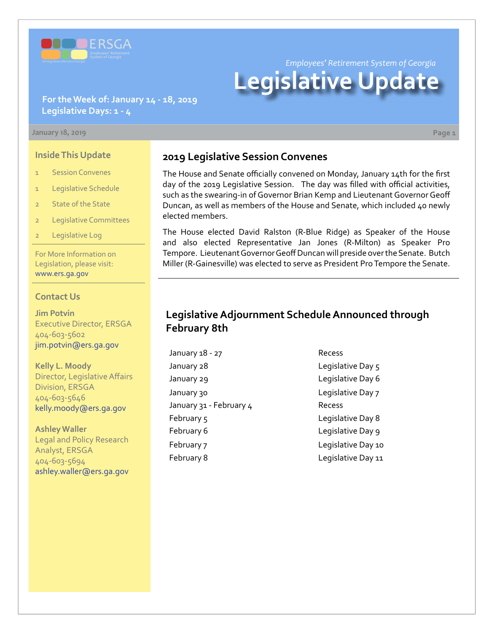

*Employees' Retirement System of Georgia*

# **Legislative Update**

**For the Week of: January 14 - 18, 2019 Legislative Days: 1 - 4**

#### **January 18, 2019 Page 1**

#### **Inside This Update**

- 1 Session Convenes
- 1 Legislative Schedule
- 2 State of the State
- 2 Legislative Committees
- Legislative Log

For More Information on Legislation, please visit: [www.ers.ga.gov](http://www.ers.ga.gov/default.aspx)

#### **Contact Us**

**Jim Potvin** Executive Director, ERSGA 404-603-5602 jim.potvin@ers.ga.gov

**Kelly L. Moody** Director, Legislative Affairs Division, ERSGA 404-603-5646 kelly.moody@ers.ga.gov

**Ashley Waller** Legal and Policy Research Analyst, ERSGA 404-603-5694 ashley.waller@ers.ga.gov

### **2019 Legislative Session Convenes**

The House and Senate officially convened on Monday, January 14th for the first day of the 2019 Legislative Session. The day was filled with official activities, such as the swearing-in of Governor Brian Kemp and Lieutenant Governor Geoff Duncan, as well as members of the House and Senate, which included 40 newly elected members.

The House elected David Ralston (R-Blue Ridge) as Speaker of the House and also elected Representative Jan Jones (R-Milton) as Speaker Pro Tempore. Lieutenant Governor Geoff Duncan will preside over the Senate. Butch Miller (R-Gainesville) was elected to serve as President Pro Tempore the Senate.

## **Legislative Adjournment Schedule Announced through February 8th**

January 18 - 27 Recess January 28 **Legislative Day 5** January 29 **Legislative Day 6** January 30 **January 30** Legislative Day 7 January 31 - February 4 Recess February 5 and 1990 Englished Day 8 February 6 **Legislative Day 9** February 7 Legislative Day 10 February 8 **Legislative Day 11**